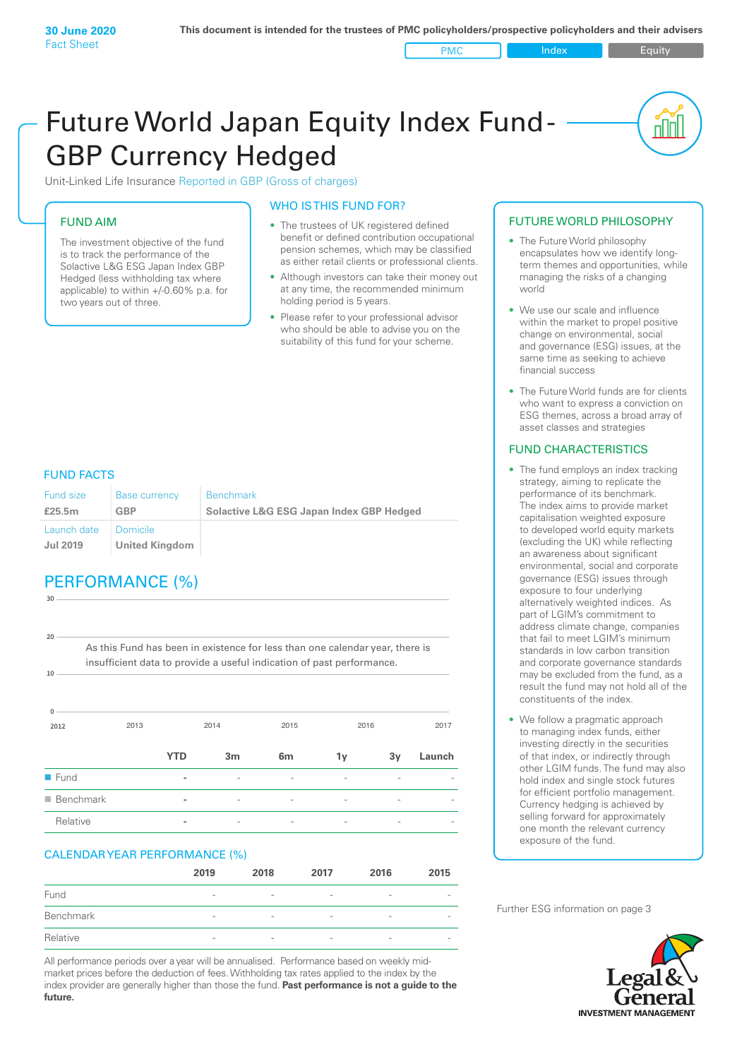PMC Index PMC Equity

nn

# Future World Japan Equity Index Fund - GBP Currency Hedged

Unit-Linked Life Insurance Reported in GBP (Gross of charges)

#### FUND AIM

The investment objective of the fund is to track the performance of the Solactive L&G ESG Japan Index GBP Hedged (less withholding tax where applicable) to within +/-0.60% p.a. for two years out of three.

#### WHO IS THIS FUND FOR?

- The trustees of UK registered defined benefit or defined contribution occupational pension schemes, which may be classified as either retail clients or professional clients.
- Although investors can take their money out at any time, the recommended minimum holding period is 5 years.
- Please refer to your professional advisor who should be able to advise you on the suitability of this fund for your scheme.

#### FUND FACTS

**30**

| Fund size                      | <b>Base currency</b>              | <b>Benchmark</b>                         |
|--------------------------------|-----------------------------------|------------------------------------------|
| £25.5m                         | <b>GBP</b>                        | Solactive L&G ESG Japan Index GBP Hedged |
| Launch date<br><b>Jul 2019</b> | Domicile<br><b>United Kingdom</b> |                                          |

# PERFORMANCE (%)

**2012** 2013 2014 2015 2016 2017 **0 10 20** As this Fund has been in existence for less than one calendar year, there is insufficient data to provide a useful indication of past performance. **YTD 3m 6m 1y 3y Launch** n Fund **-** - - - - n Benchmark **-** - - - - - Relative **-** - - - - -

#### CALENDAR YEAR PERFORMANCE (%)

|           | 2019                     | 2018                     | 2017                     | 2016                     | 2015   |
|-----------|--------------------------|--------------------------|--------------------------|--------------------------|--------|
| Fund      | $\overline{\phantom{a}}$ | $\qquad \qquad$          | $\overline{\phantom{a}}$ | $\qquad \qquad$          | $\sim$ |
| Benchmark | $\overline{\phantom{a}}$ | $\qquad \qquad$          | $\overline{\phantom{a}}$ | $\overline{\phantom{a}}$ | $\sim$ |
| Relative  | $\qquad \qquad$          | $\overline{\phantom{a}}$ | -                        | $\overline{\phantom{a}}$ |        |

All performance periods over a year will be annualised. Performance based on weekly midmarket prices before the deduction of fees. Withholding tax rates applied to the index by the index provider are generally higher than those the fund. **Past performance is not a guide to the future.**

#### FUTURE WORLD PHILOSOPHY

- The Future World philosophy encapsulates how we identify longterm themes and opportunities, while managing the risks of a changing world
- We use our scale and influence within the market to propel positive change on environmental, social and governance (ESG) issues, at the same time as seeking to achieve financial success
- The Future World funds are for clients who want to express a conviction on ESG themes, across a broad array of asset classes and strategies

#### FUND CHARACTERISTICS

- The fund employs an index tracking strategy, aiming to replicate the performance of its benchmark. The index aims to provide market capitalisation weighted exposure to developed world equity markets (excluding the UK) while reflecting an awareness about significant environmental, social and corporate governance (ESG) issues through exposure to four underlying alternatively weighted indices. As part of LGIM's commitment to address climate change, companies that fail to meet LGIM's minimum standards in low carbon transition and corporate governance standards may be excluded from the fund, as a result the fund may not hold all of the constituents of the index.
- We follow a pragmatic approach to managing index funds, either investing directly in the securities of that index, or indirectly through other LGIM funds. The fund may also hold index and single stock futures for efficient portfolio management. Currency hedging is achieved by selling forward for approximately one month the relevant currency exposure of the fund.

Further ESG information on page 3

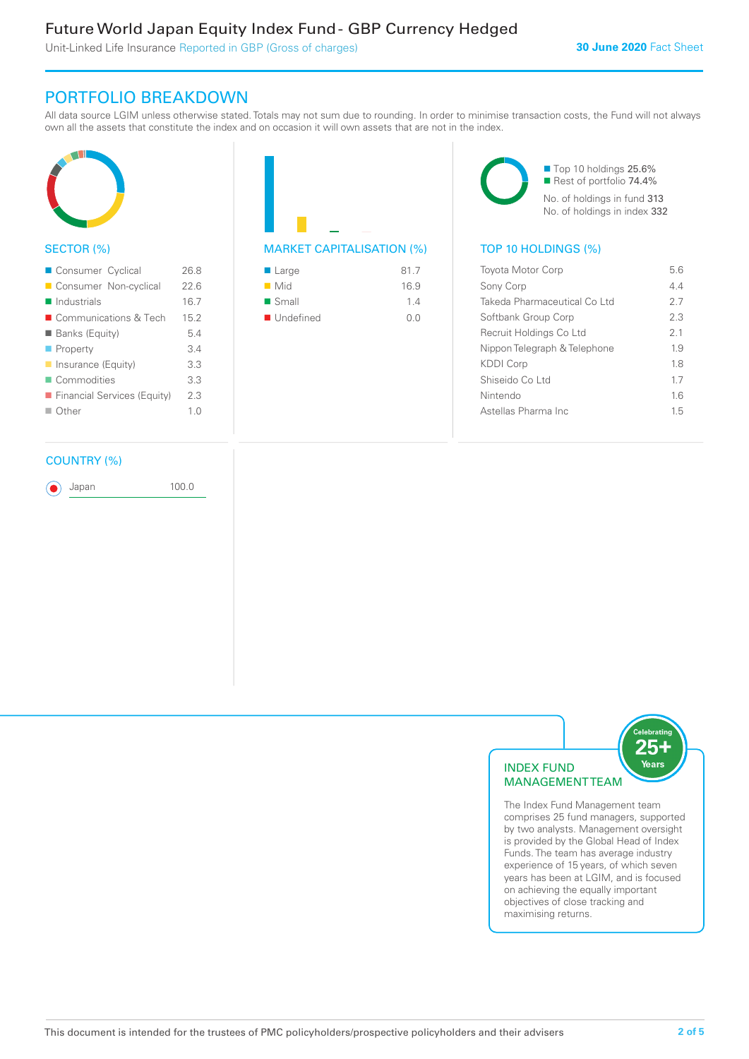# Future World Japan Equity Index Fund - GBP Currency Hedged

Unit-Linked Life Insurance Reported in GBP (Gross of charges)

## PORTFOLIO BREAKDOWN

All data source LGIM unless otherwise stated. Totals may not sum due to rounding. In order to minimise transaction costs, the Fund will not always own all the assets that constitute the index and on occasion it will own assets that are not in the index.



#### SECTOR (%)

| ■ Consumer Cyclical         | 26.8 |
|-----------------------------|------|
| Consumer Non-cyclical       | 22 G |
| $\blacksquare$ Industrials  | 167  |
| ■ Communications & Tech     | 15.2 |
| <b>Banks (Equity)</b>       | 54   |
| $\blacksquare$ Property     | 34   |
| Insurance (Equity)          | 3.3  |
| Commodities                 | 3.3  |
| Financial Services (Equity) | 23   |
| Other                       | 10   |
|                             |      |

#### COUNTRY (%)

Japan 100.0

# MARKET CAPITALISATION (%) TOP 10 HOLDINGS (%)

| $\blacksquare$ Large     | 817  |
|--------------------------|------|
| $\blacksquare$ Mid       | 16.9 |
| $\blacksquare$ Small     | 14   |
| $\blacksquare$ Undefined | 0.0  |

■ Top 10 holdings 25.6% Rest of portfolio 74.4% No. of holdings in fund 313 No. of holdings in index 332

| <b>Toyota Motor Corp</b>     | 56  |
|------------------------------|-----|
| Sony Corp                    | 44  |
| Takeda Pharmaceutical Co Ltd | 27  |
| Softbank Group Corp          | 2.3 |
| Recruit Holdings Co Ltd      | 2.1 |
| Nippon Telegraph & Telephone | 19  |
| <b>KDDI Corp</b>             | 18  |
| Shiseido Coltd               | 17  |
| Nintendo                     | 16  |
| Astellas Pharma Inc.         | 15  |
|                              |     |



comprises 25 fund managers, supported by two analysts. Management oversight is provided by the Global Head of Index Funds. The team has average industry experience of 15 years, of which seven years has been at LGIM, and is focused on achieving the equally important objectives of close tracking and maximising returns.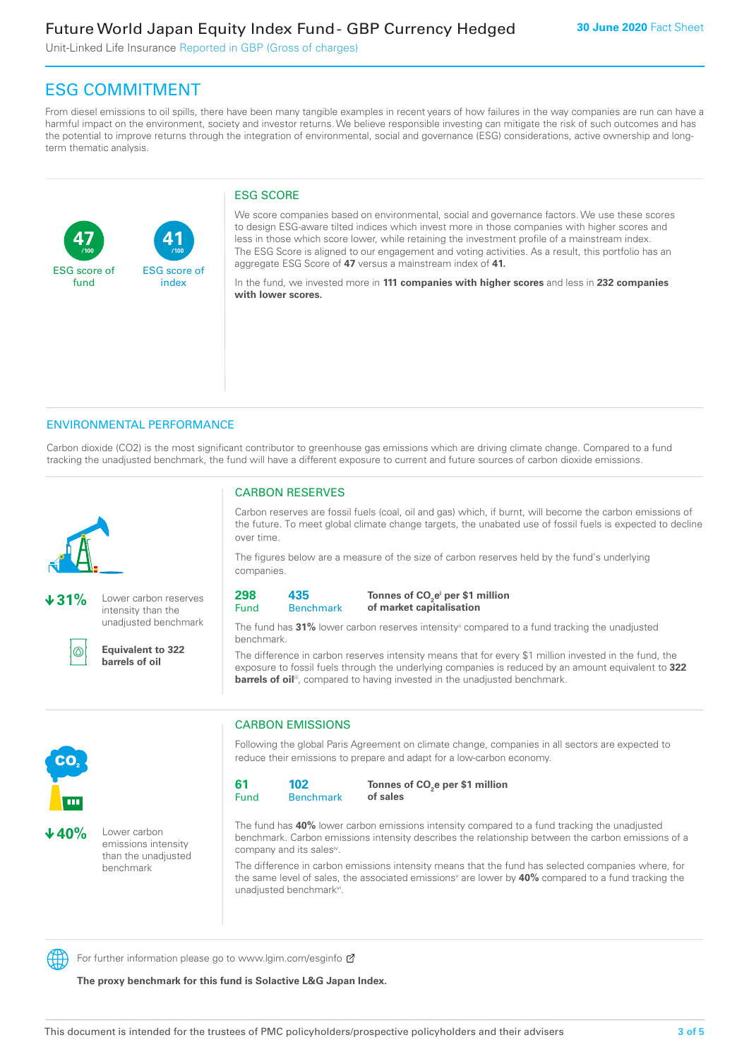Unit-Linked Life Insurance Reported in GBP (Gross of charges)

# ESG COMMITMENT

From diesel emissions to oil spills, there have been many tangible examples in recent years of how failures in the way companies are run can have a harmful impact on the environment, society and investor returns. We believe responsible investing can mitigate the risk of such outcomes and has the potential to improve returns through the integration of environmental, social and governance (ESG) considerations, active ownership and longterm thematic analysis.

#### ESG SCORE

**47** ESG score of fund **41** ESG score of index **/100 /100**

We score companies based on environmental, social and governance factors. We use these scores to design ESG-aware tilted indices which invest more in those companies with higher scores and less in those which score lower, while retaining the investment profile of a mainstream index. The ESG Score is aligned to our engagement and voting activities. As a result, this portfolio has an aggregate ESG Score of **47** versus a mainstream index of **41.**

In the fund, we invested more in **111 companies with higher scores** and less in **232 companies with lower scores.**

#### ENVIRONMENTAL PERFORMANCE

Carbon dioxide (CO2) is the most significant contributor to greenhouse gas emissions which are driving climate change. Compared to a fund tracking the unadjusted benchmark, the fund will have a different exposure to current and future sources of carbon dioxide emissions.



**31%** Lower carbon reserves intensity than the unadjusted benchmark



**Equivalent to 322 barrels of oil**

### CARBON RESERVES

Carbon reserves are fossil fuels (coal, oil and gas) which, if burnt, will become the carbon emissions of the future. To meet global climate change targets, the unabated use of fossil fuels is expected to decline over time.

The figures below are a measure of the size of carbon reserves held by the fund's underlying companies.

| 298  | 435         |
|------|-------------|
| Fund | <b>Reno</b> |

#### **Benchmark** Tonnes of CO<sub>2</sub>e<sup>i</sup> per \$1 million **of market capitalisation**

The fund has 31% lower carbon reserves intensity<sup>ii</sup> compared to a fund tracking the unadjusted benchmark.

The difference in carbon reserves intensity means that for every \$1 million invested in the fund, the exposure to fossil fuels through the underlying companies is reduced by an amount equivalent to **322**  barrels of oil<sup>iii</sup>, compared to having invested in the unadjusted benchmark.



**40%** Lower carbon emissions intensity than the unadjusted benchmark

### CARBON EMISSIONS

Following the global Paris Agreement on climate change, companies in all sectors are expected to reduce their emissions to prepare and adapt for a low-carbon economy.

| 61   | 102              |  |  |
|------|------------------|--|--|
| Fund | <b>Benchmark</b> |  |  |

Tonnes of CO<sub>2</sub>e per \$1 million **of sales**

The fund has **40%** lower carbon emissions intensity compared to a fund tracking the unadjusted benchmark. Carbon emissions intensity describes the relationship between the carbon emissions of a company and its sales<sup>iv</sup>.

The difference in carbon emissions intensity means that the fund has selected companies where, for the same level of sales, the associated emissions<sup>v</sup> are lower by **40%** compared to a fund tracking the unadjusted benchmark<sup>vi</sup>.



For further information please go to www.lgim.com/esginfo Ø

**The proxy benchmark for this fund is Solactive L&G Japan Index.**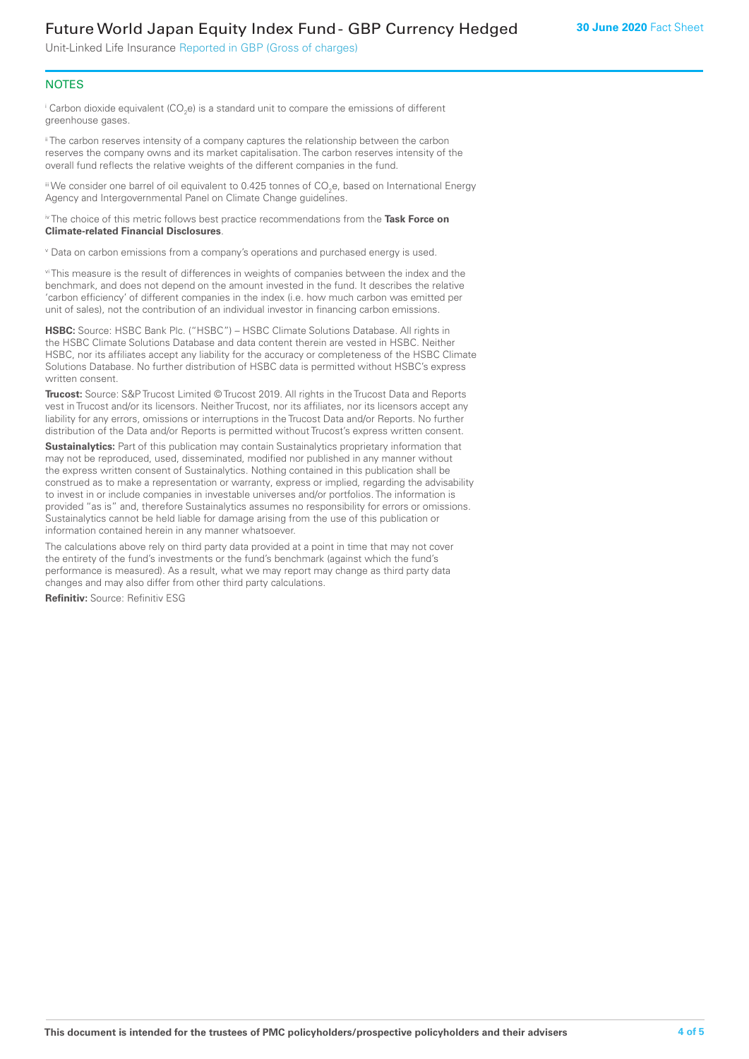# Future World Japan Equity Index Fund - GBP Currency Hedged

Unit-Linked Life Insurance Reported in GBP (Gross of charges)

#### **NOTES**

 $^\mathrm{i}$  Carbon dioxide equivalent (CO<sub>2</sub>e) is a standard unit to compare the emissions of different greenhouse gases.

<sup>ii</sup> The carbon reserves intensity of a company captures the relationship between the carbon reserves the company owns and its market capitalisation. The carbon reserves intensity of the overall fund reflects the relative weights of the different companies in the fund.

iii We consider one barrel of oil equivalent to 0.425 tonnes of CO<sub>2</sub>e, based on International Energy Agency and Intergovernmental Panel on Climate Change guidelines.

#### iv The choice of this metric follows best practice recommendations from the **Task Force on Climate-related Financial Disclosures**.

v Data on carbon emissions from a company's operations and purchased energy is used.

vi This measure is the result of differences in weights of companies between the index and the benchmark, and does not depend on the amount invested in the fund. It describes the relative 'carbon efficiency' of different companies in the index (i.e. how much carbon was emitted per unit of sales), not the contribution of an individual investor in financing carbon emissions.

**HSBC:** Source: HSBC Bank Plc. ("HSBC") – HSBC Climate Solutions Database. All rights in the HSBC Climate Solutions Database and data content therein are vested in HSBC. Neither HSBC, nor its affiliates accept any liability for the accuracy or completeness of the HSBC Climate Solutions Database. No further distribution of HSBC data is permitted without HSBC's express written consent.

**Trucost:** Source: S&P Trucost Limited © Trucost 2019. All rights in the Trucost Data and Reports vest in Trucost and/or its licensors. Neither Trucost, nor its affiliates, nor its licensors accept any liability for any errors, omissions or interruptions in the Trucost Data and/or Reports. No further distribution of the Data and/or Reports is permitted without Trucost's express written consent.

**Sustainalytics:** Part of this publication may contain Sustainalytics proprietary information that may not be reproduced, used, disseminated, modified nor published in any manner without the express written consent of Sustainalytics. Nothing contained in this publication shall be construed as to make a representation or warranty, express or implied, regarding the advisability to invest in or include companies in investable universes and/or portfolios. The information is provided "as is" and, therefore Sustainalytics assumes no responsibility for errors or omissions. Sustainalytics cannot be held liable for damage arising from the use of this publication or information contained herein in any manner whatsoever.

The calculations above rely on third party data provided at a point in time that may not cover the entirety of the fund's investments or the fund's benchmark (against which the fund's performance is measured). As a result, what we may report may change as third party data changes and may also differ from other third party calculations.

**Refinitiv:** Source: Refinitiv ESG